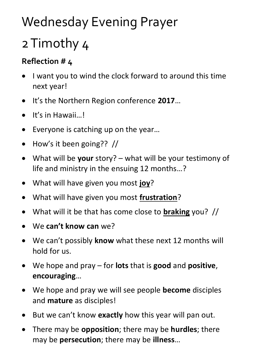## Wednesday Evening Prayer

## 2 Timothy 4

## **Reflection # 4**

- I want you to wind the clock forward to around this time next year!
- It's the Northern Region conference **2017**…
- $\bullet$  It's in Hawaii...!
- Everyone is catching up on the year...
- $\bullet$  How's it been going?? //
- What will be **your** story? what will be your testimony of life and ministry in the ensuing 12 months…?
- What will have given you most **joy**?
- What will have given you most **frustration**?
- What will it be that has come close to **braking** you? //
- We **can't know can** we?
- We can't possibly **know** what these next 12 months will hold for us.
- We hope and pray for **lots** that is **good** and **positive**, **encouraging**…
- We hope and pray we will see people **become** disciples and **mature** as disciples!
- But we can't know **exactly** how this year will pan out.
- There may be **opposition**; there may be **hurdles**; there may be **persecution**; there may be **illness**…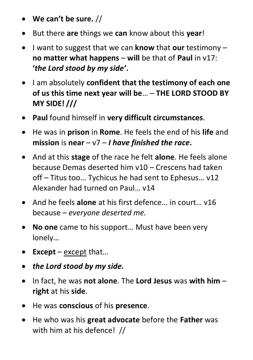- **We can't be sure.** //
- But there **are** things we **can** know about this **year**!
- I want to suggest that we can **know** that **our** testimony **no matter what happens** – **will** be that of **Paul** in v17: **'***the Lord stood by my side'***.**
- I am absolutely **confident that the testimony of each one of us this time next year will be**… – **THE LORD STOOD BY MY SIDE! ///**
- **Paul** found himself in **very difficult circumstances**.
- He was in **prison** in **Rome**. He feels the end of his **life** and **mission** is **near** – v7 – *I have finished the race***.**
- And at this **stage** of the race he felt **alone**. He feels alone because Demas deserted him v10 – Crescens had taken off – Titus too… Tychicus he had sent to Ephesus… v12 Alexander had turned on Paul… v14
- And he feels **alone** at his first defence… in court… v16 because – *everyone deserted me.*
- **No one** came to his support… Must have been very lonely…
- **Except** except that…
- *the Lord stood by my side.*
- In fact, he was **not alone**. The **Lord Jesus** was **with him right** at his **side**.
- He was **conscious** of his **presence**.
- He who was his **great advocate** before the **Father** was with him at his defence! //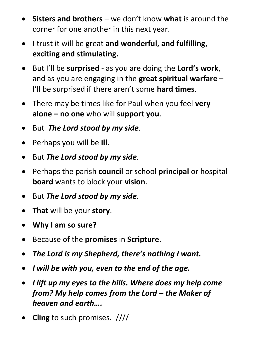- **Sisters and brothers** we don't know **what** is around the corner for one another in this next year.
- I trust it will be great **and wonderful, and fulfilling, exciting and stimulating.**
- But I'll be **surprised** as you are doing the **Lord's work**, and as you are engaging in the **great spiritual warfare** – I'll be surprised if there aren't some **hard times**.
- There may be times like for Paul when you feel **very alone – no one** who will **support you**.
- But *The Lord stood by my side.*
- Perhaps you will be **ill**.
- But *The Lord stood by my side.*
- Perhaps the parish **council** or school **principal** or hospital **board** wants to block your **vision**.
- But *The Lord stood by my side.*
- **That** will be your **story**.
- **Why I am so sure?**
- Because of the **promises** in **Scripture**.
- *The Lord is my Shepherd, there's nothing I want.*
- *I will be with you, even to the end of the age.*
- *I lift up my eyes to the hills. Where does my help come from? My help comes from the Lord – the Maker of heaven and earth….*
- **Cling** to such promises. ////